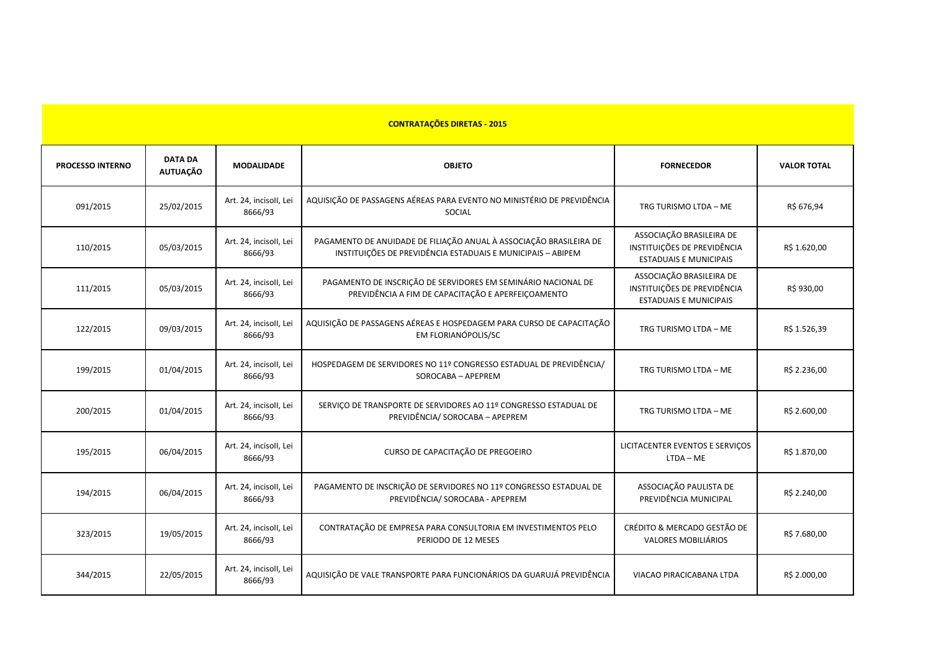| <b>CONTRATAÇÕES DIRETAS - 2015</b> |                                   |                                   |                                                                                                                                   |                                                                                          |                    |  |  |
|------------------------------------|-----------------------------------|-----------------------------------|-----------------------------------------------------------------------------------------------------------------------------------|------------------------------------------------------------------------------------------|--------------------|--|--|
| <b>PROCESSO INTERNO</b>            | <b>DATA DA</b><br><b>AUTUAÇÃO</b> | <b>MODALIDADE</b>                 | <b>OBJETO</b>                                                                                                                     | <b>FORNECEDOR</b>                                                                        | <b>VALOR TOTAL</b> |  |  |
| 091/2015                           | 25/02/2015                        | Art. 24, incisoll, Lei<br>8666/93 | AQUISIÇÃO DE PASSAGENS AÉREAS PARA EVENTO NO MINISTÉRIO DE PREVIDÊNCIA<br>SOCIAL                                                  | TRG TURISMO LTDA - ME                                                                    | R\$ 676,94         |  |  |
| 110/2015                           | 05/03/2015                        | Art. 24, incisoll, Lei<br>8666/93 | PAGAMENTO DE ANUIDADE DE FILIAÇÃO ANUAL À ASSOCIAÇÃO BRASILEIRA DE<br>INSTITUIÇÕES DE PREVIDÊNCIA ESTADUAIS E MUNICIPAIS - ABIPEM | ASSOCIAÇÃO BRASILEIRA DE<br>INSTITUIÇÕES DE PREVIDÊNCIA<br><b>ESTADUAIS E MUNICIPAIS</b> | R\$ 1.620,00       |  |  |
| 111/2015                           | 05/03/2015                        | Art. 24, incisoll, Lei<br>8666/93 | PAGAMENTO DE INSCRIÇÃO DE SERVIDORES EM SEMINÁRIO NACIONAL DE<br>PREVIDÊNCIA A FIM DE CAPACITAÇÃO E APERFEIÇOAMENTO               | ASSOCIAÇÃO BRASILEIRA DE<br>INSTITUIÇÕES DE PREVIDÊNCIA<br><b>ESTADUAIS E MUNICIPAIS</b> | R\$ 930,00         |  |  |
| 122/2015                           | 09/03/2015                        | Art. 24, incisoll, Lei<br>8666/93 | AQUISIÇÃO DE PASSAGENS AÉREAS E HOSPEDAGEM PARA CURSO DE CAPACITAÇÃO<br>EM FLORIANÓPOLIS/SC                                       | TRG TURISMO LTDA - ME                                                                    | R\$ 1.526,39       |  |  |
| 199/2015                           | 01/04/2015                        | Art. 24, incisoll, Lei<br>8666/93 | HOSPEDAGEM DE SERVIDORES NO 11º CONGRESSO ESTADUAL DE PREVIDÊNCIA/<br>SOROCABA - APEPREM                                          | TRG TURISMO LTDA - ME                                                                    | R\$ 2.236,00       |  |  |
| 200/2015                           | 01/04/2015                        | Art. 24, incisoll, Lei<br>8666/93 | SERVIÇO DE TRANSPORTE DE SERVIDORES AO 11º CONGRESSO ESTADUAL DE<br>PREVIDÊNCIA/ SOROCABA - APEPREM                               | TRG TURISMO LTDA - ME                                                                    | R\$ 2.600,00       |  |  |
| 195/2015                           | 06/04/2015                        | Art. 24, incisoll, Lei<br>8666/93 | CURSO DE CAPACITAÇÃO DE PREGOEIRO                                                                                                 | LICITACENTER EVENTOS E SERVIÇOS<br>LTDA - ME                                             | R\$ 1.870,00       |  |  |
| 194/2015                           | 06/04/2015                        | Art. 24, incisoll, Lei<br>8666/93 | PAGAMENTO DE INSCRIÇÃO DE SERVIDORES NO 11º CONGRESSO ESTADUAL DE<br>PREVIDÊNCIA/ SOROCABA - APEPREM                              | ASSOCIAÇÃO PAULISTA DE<br>PREVIDÊNCIA MUNICIPAL                                          | R\$ 2.240,00       |  |  |
| 323/2015                           | 19/05/2015                        | Art. 24, incisoll, Lei<br>8666/93 | CONTRATAÇÃO DE EMPRESA PARA CONSULTORIA EM INVESTIMENTOS PELO<br>PERIODO DE 12 MESES                                              | CRÉDITO & MERCADO GESTÃO DE<br>VALORES MOBILIÁRIOS                                       | R\$ 7.680,00       |  |  |
| 344/2015                           | 22/05/2015                        | Art. 24, incisoll, Lei<br>8666/93 | AQUISIÇÃO DE VALE TRANSPORTE PARA FUNCIONÁRIOS DA GUARUJÁ PREVIDÊNCIA                                                             | VIACAO PIRACICABANA LTDA                                                                 | R\$ 2.000,00       |  |  |

,他们的人们也不会不会不会。""我们的人们,我们也不会不会不会不会不会不会不会不会不会不会不会不会。""我们的人们,我们也不会不会不会不会不会不会不会不会不会不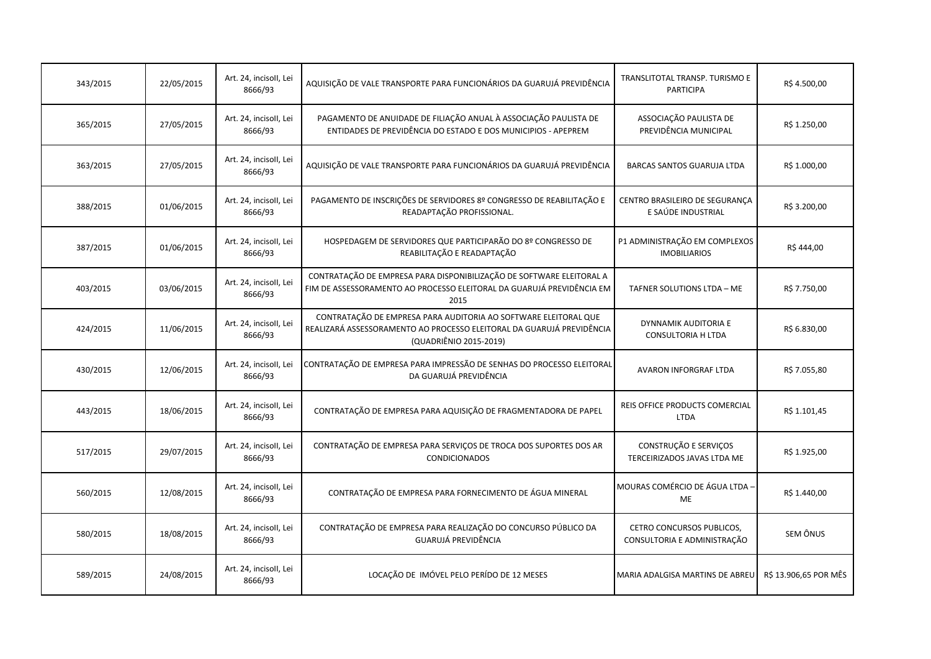| 343/2015 | 22/05/2015 | Art. 24, incisoll, Lei<br>8666/93 | AQUISIÇÃO DE VALE TRANSPORTE PARA FUNCIONÁRIOS DA GUARUJÁ PREVIDÊNCIA                                                                                              | TRANSLITOTAL TRANSP. TURISMO E<br><b>PARTICIPA</b>       | R\$4.500,00           |
|----------|------------|-----------------------------------|--------------------------------------------------------------------------------------------------------------------------------------------------------------------|----------------------------------------------------------|-----------------------|
| 365/2015 | 27/05/2015 | Art. 24, incisoll, Lei<br>8666/93 | PAGAMENTO DE ANUIDADE DE FILIAÇÃO ANUAL À ASSOCIAÇÃO PAULISTA DE<br>ENTIDADES DE PREVIDÊNCIA DO ESTADO E DOS MUNICIPIOS - APEPREM                                  | ASSOCIAÇÃO PAULISTA DE<br>PREVIDÊNCIA MUNICIPAL          | R\$ 1.250,00          |
| 363/2015 | 27/05/2015 | Art. 24, incisoll, Lei<br>8666/93 | AQUISIÇÃO DE VALE TRANSPORTE PARA FUNCIONÁRIOS DA GUARUJÁ PREVIDÊNCIA                                                                                              | BARCAS SANTOS GUARUJA LTDA                               | R\$ 1.000,00          |
| 388/2015 | 01/06/2015 | Art. 24, incisoll, Lei<br>8666/93 | PAGAMENTO DE INSCRIÇÕES DE SERVIDORES 8º CONGRESSO DE REABILITAÇÃO E<br>READAPTAÇÃO PROFISSIONAL.                                                                  | CENTRO BRASILEIRO DE SEGURANÇA<br>E SAÚDE INDUSTRIAL     | R\$ 3.200,00          |
| 387/2015 | 01/06/2015 | Art. 24, incisoll, Lei<br>8666/93 | HOSPEDAGEM DE SERVIDORES QUE PARTICIPARÃO DO 8º CONGRESSO DE<br>REABILITAÇÃO E READAPTAÇÃO                                                                         | P1 ADMINISTRAÇÃO EM COMPLEXOS<br><b>IMOBILIARIOS</b>     | R\$444,00             |
| 403/2015 | 03/06/2015 | Art. 24, incisoll, Lei<br>8666/93 | CONTRATAÇÃO DE EMPRESA PARA DISPONIBILIZAÇÃO DE SOFTWARE ELEITORAL A<br>FIM DE ASSESSORAMENTO AO PROCESSO ELEITORAL DA GUARUJÁ PREVIDÊNCIA EM<br>2015              | TAFNER SOLUTIONS LTDA - ME                               | R\$ 7.750,00          |
| 424/2015 | 11/06/2015 | Art. 24, incisoll, Lei<br>8666/93 | CONTRATAÇÃO DE EMPRESA PARA AUDITORIA AO SOFTWARE ELEITORAL QUE<br>REALIZARÁ ASSESSORAMENTO AO PROCESSO ELEITORAL DA GUARUJÁ PREVIDÊNCIA<br>(QUADRIÊNIO 2015-2019) | DYNNAMIK AUDITORIA E<br><b>CONSULTORIA H LTDA</b>        | R\$ 6.830,00          |
| 430/2015 | 12/06/2015 | Art. 24, incisoll, Lei<br>8666/93 | CONTRATAÇÃO DE EMPRESA PARA IMPRESSÃO DE SENHAS DO PROCESSO ELEITORAL<br>DA GUARUJÁ PREVIDÊNCIA                                                                    | AVARON INFORGRAF LTDA                                    | R\$ 7.055,80          |
| 443/2015 | 18/06/2015 | Art. 24, incisoll, Lei<br>8666/93 | CONTRATAÇÃO DE EMPRESA PARA AQUISIÇÃO DE FRAGMENTADORA DE PAPEL                                                                                                    | REIS OFFICE PRODUCTS COMERCIAL<br><b>LTDA</b>            | R\$ 1.101,45          |
| 517/2015 | 29/07/2015 | Art. 24, incisoll, Lei<br>8666/93 | CONTRATAÇÃO DE EMPRESA PARA SERVIÇOS DE TROCA DOS SUPORTES DOS AR<br><b>CONDICIONADOS</b>                                                                          | CONSTRUÇÃO E SERVIÇOS<br>TERCEIRIZADOS JAVAS LTDA ME     | R\$ 1.925,00          |
| 560/2015 | 12/08/2015 | Art. 24, incisoll, Lei<br>8666/93 | CONTRATAÇÃO DE EMPRESA PARA FORNECIMENTO DE ÁGUA MINERAL                                                                                                           | MOURAS COMÉRCIO DE ÁGUA LTDA -<br>ME                     | R\$ 1.440,00          |
| 580/2015 | 18/08/2015 | Art. 24, incisoll, Lei<br>8666/93 | CONTRATAÇÃO DE EMPRESA PARA REALIZAÇÃO DO CONCURSO PÚBLICO DA<br>GUARUJÁ PREVIDÊNCIA                                                                               | CETRO CONCURSOS PUBLICOS,<br>CONSULTORIA E ADMINISTRAÇÃO | SEM ÔNUS              |
| 589/2015 | 24/08/2015 | Art. 24, incisoll, Lei<br>8666/93 | LOCAÇÃO DE IMÓVEL PELO PERÍDO DE 12 MESES                                                                                                                          | MARIA ADALGISA MARTINS DE ABREU                          | R\$ 13.906,65 POR MÊS |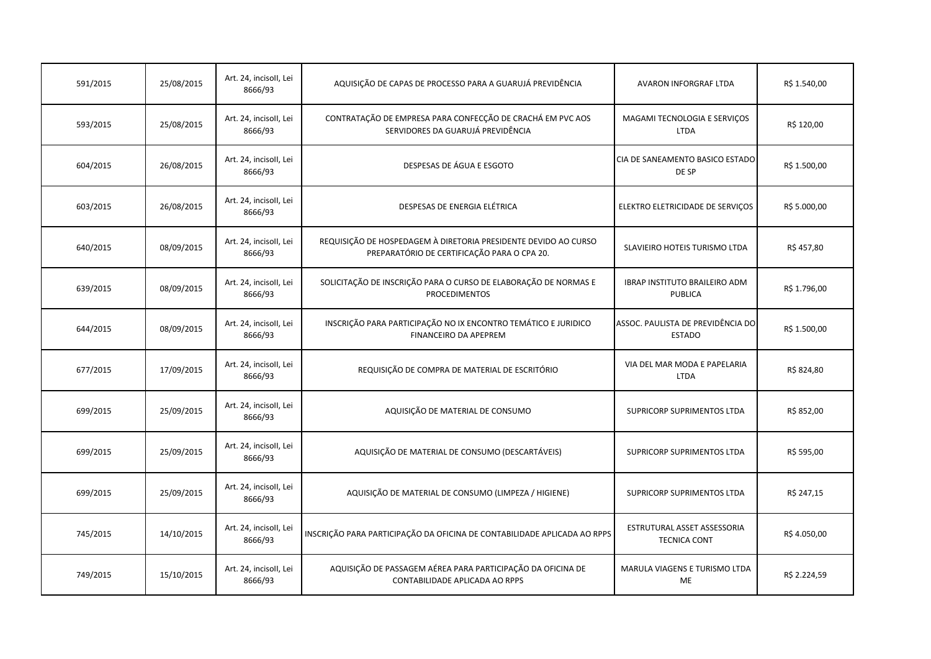| 591/2015 | 25/08/2015 | Art. 24, incisoll, Lei<br>8666/93 | AQUISIÇÃO DE CAPAS DE PROCESSO PARA A GUARUJÁ PREVIDÊNCIA                                                      | AVARON INFORGRAF LTDA                              | R\$ 1.540,00 |
|----------|------------|-----------------------------------|----------------------------------------------------------------------------------------------------------------|----------------------------------------------------|--------------|
| 593/2015 | 25/08/2015 | Art. 24, incisoll, Lei<br>8666/93 | CONTRATAÇÃO DE EMPRESA PARA CONFECÇÃO DE CRACHÁ EM PVC AOS<br>SERVIDORES DA GUARUJÁ PREVIDÊNCIA                | MAGAMI TECNOLOGIA E SERVIÇOS<br><b>LTDA</b>        | R\$ 120,00   |
| 604/2015 | 26/08/2015 | Art. 24, incisoll, Lei<br>8666/93 | DESPESAS DE ÁGUA E ESGOTO                                                                                      | CIA DE SANEAMENTO BASICO ESTADO<br>DE SP           | R\$ 1.500,00 |
| 603/2015 | 26/08/2015 | Art. 24, incisoll, Lei<br>8666/93 | DESPESAS DE ENERGIA ELÉTRICA                                                                                   | ELEKTRO ELETRICIDADE DE SERVIÇOS                   | R\$ 5.000,00 |
| 640/2015 | 08/09/2015 | Art. 24, incisoll, Lei<br>8666/93 | REQUISIÇÃO DE HOSPEDAGEM À DIRETORIA PRESIDENTE DEVIDO AO CURSO<br>PREPARATÓRIO DE CERTIFICAÇÃO PARA O CPA 20. | SLAVIEIRO HOTEIS TURISMO LTDA                      | R\$457,80    |
| 639/2015 | 08/09/2015 | Art. 24, incisoll, Lei<br>8666/93 | SOLICITAÇÃO DE INSCRIÇÃO PARA O CURSO DE ELABORAÇÃO DE NORMAS E<br><b>PROCEDIMENTOS</b>                        | <b>IBRAP INSTITUTO BRAILEIRO ADM</b><br>PUBLICA    | R\$ 1.796,00 |
| 644/2015 | 08/09/2015 | Art. 24, incisoll, Lei<br>8666/93 | INSCRIÇÃO PARA PARTICIPAÇÃO NO IX ENCONTRO TEMÁTICO E JURIDICO<br><b>FINANCEIRO DA APEPREM</b>                 | ASSOC. PAULISTA DE PREVIDÊNCIA DO<br><b>ESTADO</b> | R\$ 1.500,00 |
| 677/2015 | 17/09/2015 | Art. 24, incisoll, Lei<br>8666/93 | REQUISIÇÃO DE COMPRA DE MATERIAL DE ESCRITÓRIO                                                                 | VIA DEL MAR MODA E PAPELARIA<br><b>LTDA</b>        | R\$ 824,80   |
| 699/2015 | 25/09/2015 | Art. 24, incisoll, Lei<br>8666/93 | AQUISIÇÃO DE MATERIAL DE CONSUMO                                                                               | SUPRICORP SUPRIMENTOS LTDA                         | R\$ 852,00   |
| 699/2015 | 25/09/2015 | Art. 24, incisoll, Lei<br>8666/93 | AQUISIÇÃO DE MATERIAL DE CONSUMO (DESCARTÁVEIS)                                                                | SUPRICORP SUPRIMENTOS LTDA                         | R\$ 595,00   |
| 699/2015 | 25/09/2015 | Art. 24, incisoll, Lei<br>8666/93 | AQUISIÇÃO DE MATERIAL DE CONSUMO (LIMPEZA / HIGIENE)                                                           | SUPRICORP SUPRIMENTOS LTDA                         | R\$ 247,15   |
| 745/2015 | 14/10/2015 | Art. 24, incisoll, Lei<br>8666/93 | INSCRIÇÃO PARA PARTICIPAÇÃO DA OFICINA DE CONTABILIDADE APLICADA AO RPPS                                       | ESTRUTURAL ASSET ASSESSORIA<br><b>TECNICA CONT</b> | R\$4.050,00  |
| 749/2015 | 15/10/2015 | Art. 24, incisoll, Lei<br>8666/93 | AQUISIÇÃO DE PASSAGEM AÉREA PARA PARTICIPAÇÃO DA OFICINA DE<br>CONTABILIDADE APLICADA AO RPPS                  | MARULA VIAGENS E TURISMO LTDA<br>ME                | R\$ 2.224,59 |